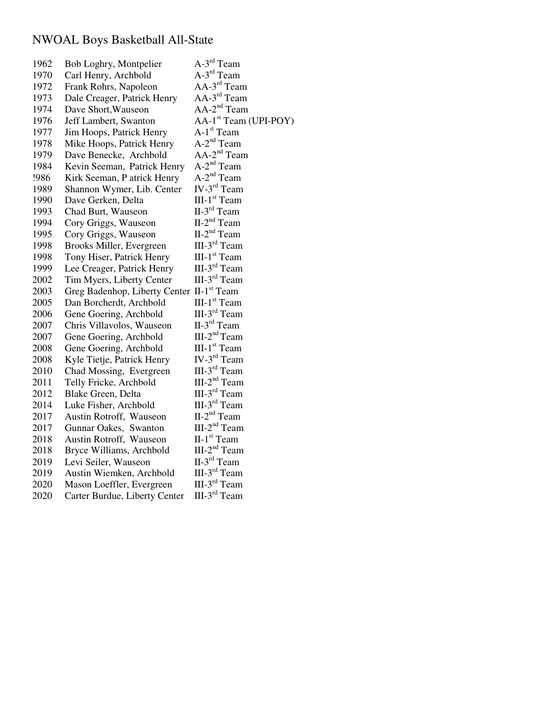## NWOAL Boys Basketball All-State

| 1962 | Bob Loghry, Montpelier                    | A-3 <sup>rd</sup> Team            |
|------|-------------------------------------------|-----------------------------------|
| 1970 | Carl Henry, Archbold                      | A-3 <sup>rd</sup> Team            |
| 1972 | Frank Rohrs, Napoleon                     | $AA-3rd Team$                     |
| 1973 | Dale Creager, Patrick Henry               | $AA-3rd Team$                     |
| 1974 | Dave Short, Wauseon                       | $AA-2nd Team$                     |
| 1976 | Jeff Lambert, Swanton                     | AA-1 <sup>st</sup> Team (UPI-POY) |
| 1977 | Jim Hoops, Patrick Henry                  | $A-1st$ Team                      |
| 1978 | Mike Hoops, Patrick Henry                 | $A-2^{nd}$ Team                   |
| 1979 | Dave Benecke, Archbold                    | AA-2 <sup>nd</sup> Team           |
| 1984 | Kevin Seeman, Patrick Henry               | $A-2^{nd}$ Team                   |
| !986 | Kirk Seeman, P atrick Henry               | $A-2^{nd}$ Team                   |
| 1989 | Shannon Wymer, Lib. Center                | IV- $3rd$ Team                    |
| 1990 | Dave Gerken, Delta                        | III-1 <sup>st</sup> Team          |
| 1993 | Chad Burt, Wauseon                        | II-3 <sup>rd</sup> Team           |
| 1994 | Cory Griggs, Wauseon                      | $II-2nd Team$                     |
| 1995 | Cory Griggs, Wauseon                      | II-2 <sup>nd</sup> Team           |
| 1998 | Brooks Miller, Evergreen                  | III-3 <sup>rd</sup> Team          |
| 1998 | Tony Hiser, Patrick Henry                 | III-1 <sup>st</sup> Team          |
| 1999 | Lee Creager, Patrick Henry                | $III-3rd Team$                    |
| 2002 | Tim Myers, Liberty Center                 | III- $3rd$ Team                   |
| 2003 | Greg Badenhop, Liberty Center II-1st Team |                                   |
| 2005 | Dan Borcherdt, Archbold                   | III-1 <sup>st</sup> Team          |
| 2006 | Gene Goering, Archbold                    | $III-3rd Team$                    |
| 2007 | Chris Villavolos, Wauseon                 | $II-3rd$ Team                     |
| 2007 | Gene Goering, Archbold                    | $III-2nd Team$                    |
| 2008 | Gene Goering, Archbold                    | III-1 <sup>st</sup> Team          |
| 2008 | Kyle Tietje, Patrick Henry                | IV- $3rd$ Team                    |
| 2010 | Chad Mossing, Evergreen                   | III-3 <sup>rd</sup> Team          |
| 2011 | Telly Fricke, Archbold                    | $III-2nd Team$                    |
| 2012 | Blake Green, Delta                        | III-3 <sup>rd</sup> Team          |
| 2014 | Luke Fisher, Archbold                     | III-3 <sup>rd</sup> Team          |
| 2017 | Austin Rotroff, Wauseon                   | $II-2nd Team$                     |
| 2017 | Gunnar Oakes, Swanton                     | $III-2nd Team$                    |
| 2018 | Austin Rotroff, Wauseon                   | $II-1st Team$                     |
| 2018 | Bryce Williams, Archbold                  | $III-2nd Team$                    |
| 2019 | Levi Seiler, Wauseon                      | $II-3rd$ Team                     |
| 2019 | Austin Wiemken, Archbold                  | III-3 <sup>rd</sup> Team          |
| 2020 | Mason Loeffler, Evergreen                 | III-3 <sup>rd</sup> Team          |
| 2020 | Carter Burdue, Liberty Center             | III-3 <sup>rd</sup> Team          |